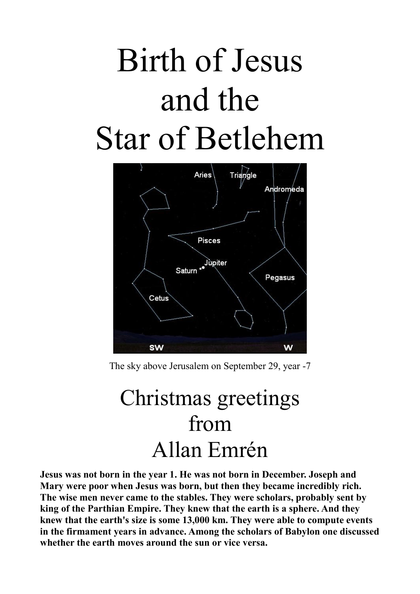## Birth of Jesus and the Star of Betlehem



The sky above Jerusalem on September 29, year -7

## Christmas greetings from Allan Emrén

**Jesus was not born in the year 1. He was not born in December. Joseph and Mary were poor when Jesus was born, but then they became incredibly rich. The wise men never came to the stables. They were scholars, probably sent by king of the Parthian Empire. They knew that the earth is a sphere. And they knew that the earth's size is some 13,000 km. They were able to compute events in the firmament years in advance. Among the scholars of Babylon one discussed whether the earth moves around the sun or vice versa.**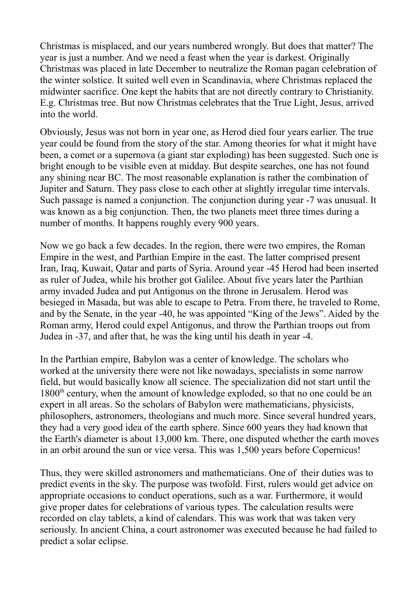Christmas is misplaced, and our years numbered wrongly. But does that matter? The year is just a number. And we need a feast when the year is darkest. Originally Christmas was placed in late December to neutralize the Roman pagan celebration of the winter solstice. It suited well even in Scandinavia, where Christmas replaced the midwinter sacrifice. One kept the habits that are not directly contrary to Christianity. E.g. Christmas tree. But now Christmas celebrates that the True Light, Jesus, arrived into the world.

Obviously, Jesus was not born in year one, as Herod died four years earlier. The true year could be found from the story of the star. Among theories for what it might have been, a comet or a supernova (a giant star exploding) has been suggested. Such one is bright enough to be visible even at midday. But despite searches, one has not found any shining near BC. The most reasonable explanation is rather the combination of Jupiter and Saturn. They pass close to each other at slightly irregular time intervals. Such passage is named a conjunction. The conjunction during year -7 was unusual. It was known as a big conjunction. Then, the two planets meet three times during a number of months. It happens roughly every 900 years.

Now we go back a few decades. In the region, there were two empires, the Roman Empire in the west, and Parthian Empire in the east. The latter comprised present Iran, Iraq, Kuwait, Qatar and parts of Syria. Around year -45 Herod had been inserted as ruler of Judea, while his brother got Galilee. About five years later the Parthian army invaded Judea and put Antigonus on the throne in Jerusalem. Herod was besieged in Masada, but was able to escape to Petra. From there, he traveled to Rome, and by the Senate, in the year -40, he was appointed "King of the Jews". Aided by the Roman army, Herod could expel Antigonus, and throw the Parthian troops out from Judea in -37, and after that, he was the king until his death in year -4.

In the Parthian empire, Babylon was a center of knowledge. The scholars who worked at the university there were not like nowadays, specialists in some narrow field, but would basically know all science. The specialization did not start until the 1800<sup>th</sup> century, when the amount of knowledge exploded, so that no one could be an expert in all areas. So the scholars of Babylon were mathematicians, physicists, philosophers, astronomers, theologians and much more. Since several hundred years, they had a very good idea of the earth sphere. Since 600 years they had known that the Earth's diameter is about 13,000 km. There, one disputed whether the earth moves in an orbit around the sun or vice versa. This was 1,500 years before Copernicus!

Thus, they were skilled astronomers and mathematicians. One of their duties was to predict events in the sky. The purpose was twofold. First, rulers would get advice on appropriate occasions to conduct operations, such as a war. Furthermore, it would give proper dates for celebrations of various types. The calculation results were recorded on clay tablets, a kind of calendars. This was work that was taken very seriously. In ancient China, a court astronomer was executed because he had failed to predict a solar eclipse.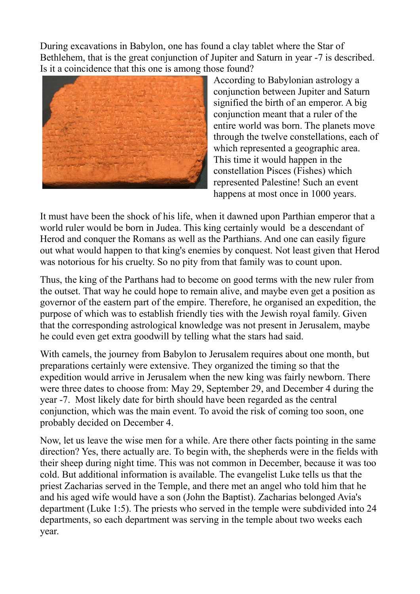During excavations in Babylon, one has found a clay tablet where the Star of Bethlehem, that is the great conjunction of Jupiter and Saturn in year -7 is described. Is it a coincidence that this one is among those found?



According to Babylonian astrology a conjunction between Jupiter and Saturn signified the birth of an emperor. A big conjunction meant that a ruler of the entire world was born. The planets move through the twelve constellations, each of which represented a geographic area. This time it would happen in the constellation Pisces (Fishes) which represented Palestine! Such an event happens at most once in 1000 years.

It must have been the shock of his life, when it dawned upon Parthian emperor that a world ruler would be born in Judea. This king certainly would be a descendant of Herod and conquer the Romans as well as the Parthians. And one can easily figure out what would happen to that king's enemies by conquest. Not least given that Herod was notorious for his cruelty. So no pity from that family was to count upon.

Thus, the king of the Parthans had to become on good terms with the new ruler from the outset. That way he could hope to remain alive, and maybe even get a position as governor of the eastern part of the empire. Therefore, he organised an expedition, the purpose of which was to establish friendly ties with the Jewish royal family. Given that the corresponding astrological knowledge was not present in Jerusalem, maybe he could even get extra goodwill by telling what the stars had said.

With camels, the journey from Babylon to Jerusalem requires about one month, but preparations certainly were extensive. They organized the timing so that the expedition would arrive in Jerusalem when the new king was fairly newborn. There were three dates to choose from: May 29, September 29, and December 4 during the year -7. Most likely date for birth should have been regarded as the central conjunction, which was the main event. To avoid the risk of coming too soon, one probably decided on December 4.

Now, let us leave the wise men for a while. Are there other facts pointing in the same direction? Yes, there actually are. To begin with, the shepherds were in the fields with their sheep during night time. This was not common in December, because it was too cold. But additional information is available. The evangelist Luke tells us that the priest Zacharias served in the Temple, and there met an angel who told him that he and his aged wife would have a son (John the Baptist). Zacharias belonged Avia's department (Luke 1:5). The priests who served in the temple were subdivided into 24 departments, so each department was serving in the temple about two weeks each year.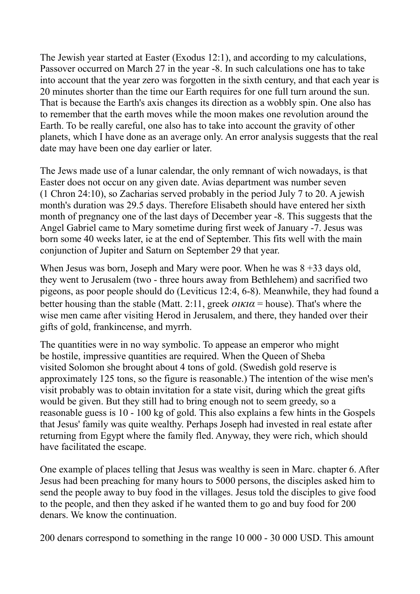The Jewish year started at Easter (Exodus 12:1), and according to my calculations, Passover occurred on March 27 in the year -8. In such calculations one has to take into account that the year zero was forgotten in the sixth century, and that each year is 20 minutes shorter than the time our Earth requires for one full turn around the sun. That is because the Earth's axis changes its direction as a wobbly spin. One also has to remember that the earth moves while the moon makes one revolution around the Earth. To be really careful, one also has to take into account the gravity of other planets, which I have done as an average only. An error analysis suggests that the real date may have been one day earlier or later.

The Jews made use of a lunar calendar, the only remnant of wich nowadays, is that Easter does not occur on any given date. Avias department was number seven (1 Chron 24:10), so Zacharias served probably in the period July 7 to 20. A jewish month's duration was 29.5 days. Therefore Elisabeth should have entered her sixth month of pregnancy one of the last days of December year -8. This suggests that the Angel Gabriel came to Mary sometime during first week of January -7. Jesus was born some 40 weeks later, ie at the end of September. This fits well with the main conjunction of Jupiter and Saturn on September 29 that year.

When Jesus was born, Joseph and Mary were poor. When he was  $8 + 33$  days old, they went to Jerusalem (two - three hours away from Bethlehem) and sacrified two pigeons, as poor people should do (Leviticus 12:4, 6-8). Meanwhile, they had found a better housing than the stable (Matt. 2:11, greek  $\alpha \kappa \alpha$  = house). That's where the wise men came after visiting Herod in Jerusalem, and there, they handed over their gifts of gold, frankincense, and myrrh.

The quantities were in no way symbolic. To appease an emperor who might be hostile, impressive quantities are required. When the Queen of Sheba visited Solomon she brought about 4 tons of gold. (Swedish gold reserve is approximately 125 tons, so the figure is reasonable.) The intention of the wise men's visit probably was to obtain invitation for a state visit, during which the great gifts would be given. But they still had to bring enough not to seem greedy, so a reasonable guess is 10 - 100 kg of gold. This also explains a few hints in the Gospels that Jesus' family was quite wealthy. Perhaps Joseph had invested in real estate after returning from Egypt where the family fled. Anyway, they were rich, which should have facilitated the escape.

One example of places telling that Jesus was wealthy is seen in Marc. chapter 6. After Jesus had been preaching for many hours to 5000 persons, the disciples asked him to send the people away to buy food in the villages. Jesus told the disciples to give food to the people, and then they asked if he wanted them to go and buy food for 200 denars. We know the continuation.

200 denars correspond to something in the range 10 000 - 30 000 USD. This amount